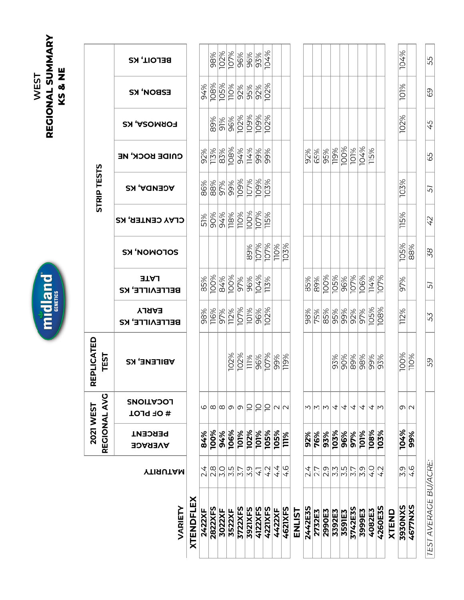|                                                             |                                  |                               | midland <sup>®</sup>    |                                |                               |                    |                        |                    |                            |                |                    |                   |
|-------------------------------------------------------------|----------------------------------|-------------------------------|-------------------------|--------------------------------|-------------------------------|--------------------|------------------------|--------------------|----------------------------|----------------|--------------------|-------------------|
|                                                             |                                  | RECIONAL AVC<br>2021 WEST     | LICATED<br>TEST<br>REPI |                                |                               |                    |                        | <b>STRIP TESTS</b> |                            |                |                    |                   |
| <b>YTIAUTAM</b><br>VARIETY                                  | <b>PERCENT</b><br><b>AVERAGE</b> | <b>COCATIONS</b><br># OF PLOT | <b>ABILENE, KS</b>      | <b>EARLY</b><br>BETTEAITTE' K2 | <b>LATE</b><br>BETTEAITTE' K2 | <b>SOFOWON' K2</b> | <b>CLAY CENTER, KS</b> | <b>AGENDA, KS</b>  | CNIDE BOCK <sup>'</sup> HE | FORMOSA, KS    | EZBON' K2          | <b>BELOIT, KS</b> |
| <b>XTENDFLEX</b>                                            |                                  |                               |                         |                                |                               |                    |                        |                    |                            |                |                    |                   |
| 24<br>2422XF                                                | 84%                              |                               |                         | 98%                            | 85%                           |                    | 51%                    | 86%                | 92%                        |                | 94%                |                   |
| $2.\overline{8}$<br>2822XFS                                 | 100%                             | $\omega \omega \omega $ ത     |                         | 116%                           | 100%                          |                    | 90%                    | 88%                | 113%                       | 89%            | 108%               | 98%               |
| 3022XF                                                      | 94%                              |                               |                         | 97%                            | 84%                           |                    | 94%                    | 97%                | 83%                        | $\frac{8}{91}$ | 105%               | 102%              |
| $\frac{ Q }{ Q }$ w<br>3522XF                               | 106%                             |                               | 102%                    | 112%                           | 100%                          |                    | 118%                   | 99%                | 108%                       | 96%            | $\overline{110\%}$ | 107%              |
| 3722XFS                                                     | 101%                             |                               | 102%                    | 107%                           | 97%                           |                    | 110%                   | 109%               | 94%                        | 102%           | 92%                | 96%               |
| $\frac{1}{2}$<br><b>3921XFS</b>                             | 102%                             | $ \mathsf{S} $                | 11%                     | 101%                           | 96%                           | 89%                | 100%                   | 107%               | 114%                       | 109%           | 95%                | 96%               |
| $\overline{4}$<br>4122XFS                                   | 101%                             | ∣⊇                            | 96%                     | 96%                            | 104%                          | 107%               | 107%                   | 109%               | 8866                       | 109%           | 92%                | 93%               |
| 4.2<br>4221XFS                                              | 105%                             | $\overline{C}$                | 107%                    | 102%                           | 113%                          | 107%               | 115%                   | 103%               |                            | 102%           | 102%               | 104%              |
| 44<br>4422XF                                                | 105%                             | $ N \Omega$                   | 99%                     |                                |                               | 110%               |                        |                    |                            |                |                    |                   |
| 4.6<br>4621XFS                                              | 111%                             |                               | 119%                    |                                |                               | 103%               |                        |                    |                            |                |                    |                   |
| <b>ENLIST</b>                                               |                                  |                               |                         |                                |                               |                    |                        |                    |                            |                |                    |                   |
| 24<br>2442E3S                                               | 92%                              |                               |                         | 98%                            | 85%                           |                    |                        |                    | 92%                        |                |                    |                   |
| $\frac{1}{2}$<br>2732E3                                     | 76%                              | M W W 4                       |                         | 75%                            | 89%                           |                    |                        |                    | 65%                        |                |                    |                   |
| 2990E3                                                      | 93%                              |                               |                         | 85%                            | 100%                          |                    |                        |                    | 95%                        |                |                    |                   |
| 3392E3                                                      | 103%                             |                               | 93%                     | 95%                            | 105%                          |                    |                        |                    | 119%                       |                |                    |                   |
| $\frac{ S }{ S } \frac{ N }{ N } \frac{ N }{ S }$<br>3591E3 | 96%                              | $\overline{v}$                | 90%                     | 99%                            | 96%                           |                    |                        |                    | 100%                       |                |                    |                   |
| 3742E3S                                                     | 97%                              | $\overline{v}$                | 89%                     | 92%                            | 107%                          |                    |                        |                    | 101%                       |                |                    |                   |
| $\frac{6}{2}$<br>3999E3                                     | 101%                             | 4                             | 98%                     | 97%                            | 106%                          |                    |                        |                    | 104%                       |                |                    |                   |
| $\overline{4.0}$<br>4082E3                                  | 108%                             | $\overline{ }$                | 99%                     | 105%                           | 114%                          |                    |                        |                    | 115%                       |                |                    |                   |
| $\frac{4}{3}$<br>4260E3S                                    | 103%                             | M                             | 93%                     | 108%                           | 107%                          |                    |                        |                    |                            |                |                    |                   |
| XTEND                                                       |                                  |                               |                         |                                |                               |                    |                        |                    |                            |                |                    |                   |
| 3.9<br>3930NXS                                              | 104%                             |                               | 100%                    | 112%                           | 97%                           | 105%               | 115%                   | 103%               |                            | 102%           | <b>101%</b>        | 104%              |
| $\frac{4.6}{3}$<br><b>4677NXS</b>                           | 99%                              | ത∣ഢ                           | 110%                    |                                |                               | 88%                |                        |                    |                            |                |                    |                   |
| TFST AVFRAGE BUZACRE                                        |                                  |                               | 59                      | 57                             | 57                            | $\overline{z}$     | 22                     | 57                 | ናና                         | 45             | ငှ                 | 55                |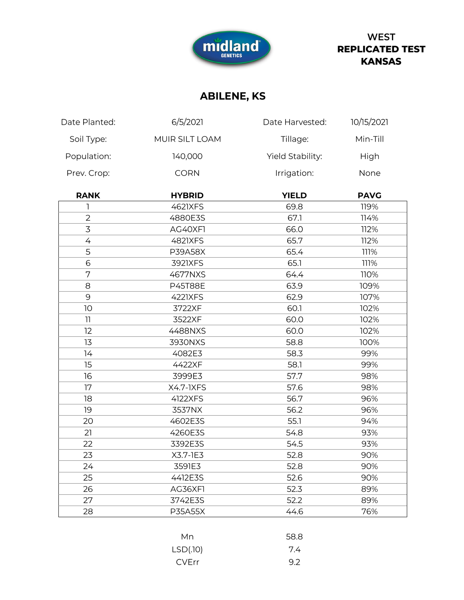

# **WEST REPLICATED TEST KANSAS**

# **ABILENE, KS**

| Date Planted:  | 6/5/2021         | Date Harvested:  | 10/15/2021  |
|----------------|------------------|------------------|-------------|
| Soil Type:     | MUIR SILT LOAM   | Tillage:         | Min-Till    |
| Population:    | 140,000          | Yield Stability: | High        |
| Prev. Crop:    | <b>CORN</b>      | Irrigation:      | None        |
| <b>RANK</b>    | <b>HYBRID</b>    | <b>YIELD</b>     | <b>PAVG</b> |
| $\mathsf{I}$   | 4621XFS          | 69.8             | 119%        |
| $\overline{2}$ | 4880E3S          | 67.1             | 114%        |
| 3              | AG40XF1          | 66.0             | 112%        |
| 4              | 4821XFS          | 65.7             | 112%        |
| 5              | <b>P39A58X</b>   | 65.4             | 111%        |
| 6              | 3921XFS          | 65.1             | 111%        |
| 7              | 4677NXS          | 64.4             | 110%        |
| 8              | <b>P45T88E</b>   | 63.9             | 109%        |
| 9              | <b>4221XFS</b>   | 62.9             | 107%        |
| 10             | 3722XF           | 60.1             | 102%        |
| 11             | 3522XF           | 60.0             | 102%        |
| 12             | 4488NXS          | 60.0             | 102%        |
| 13             | 3930NXS          | 58.8             | 100%        |
| 14             | 4082E3           | 58.3             | 99%         |
| 15             | 4422XF           | 58.1             | 99%         |
| 16             | 3999E3           | 57.7             | 98%         |
| 17             | <b>X4.7-1XFS</b> | 57.6             | 98%         |
| 18             | 4122XFS          | 56.7             | 96%         |
| 19             | 3537NX           | 56.2             | 96%         |
| 20             | 4602E3S          | 55.1             | 94%         |
| 21             | 4260E3S          | 54.8             | 93%         |
| 22             | 3392E3S          | 54.5             | 93%         |
| 23             | X3.7-1E3         | 52.8             | 90%         |
| 24             | 3591E3           | 52.8             | 90%         |
| 25             | 4412E3S          | 52.6             | 90%         |
| 26             | AG36XF1          | 52.3             | 89%         |
| 27             | 3742E3S          | 52.2             | 89%         |
| 28             | <b>P35A55X</b>   | 44.6             | 76%         |

| Mn           | 58.8 |
|--------------|------|
| LSD(.10)     | 7.4  |
| <b>CVErr</b> | 9.2  |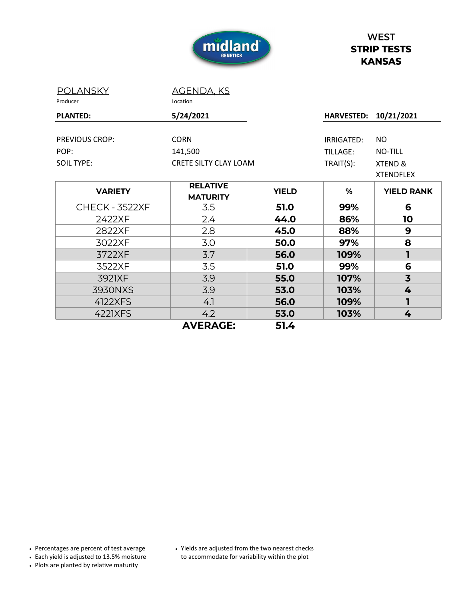

| <b>POLANSKY</b><br>Producer | <u>AGENDA, KS</u><br>Location                                                 |              |                   |                         |
|-----------------------------|-------------------------------------------------------------------------------|--------------|-------------------|-------------------------|
| <b>PLANTED:</b>             | 5/24/2021                                                                     |              | <b>HARVESTED:</b> | 10/21/2021              |
| PREVIOUS CROP:              | <b>CORN</b>                                                                   |              | IRRIGATED:        | <b>NO</b>               |
| POP:                        | 141,500                                                                       |              | <b>TILLAGE:</b>   | <b>NO-TILL</b>          |
| <b>SOIL TYPE:</b>           | <b>CRETE SILTY CLAY LOAM</b>                                                  |              | TRAIT(S):         | XTEND &                 |
|                             |                                                                               |              |                   | <b>XTENDFLEX</b>        |
| <b>VARIETY</b>              | <b>RELATIVE</b><br><b>MATURITY</b>                                            | <b>YIELD</b> | %                 | <b>YIELD RANK</b>       |
| CHECK - 3522XF              | 3.5                                                                           | 51.0         | 99%               | 6                       |
| 2422XF                      | 2.4                                                                           | 44.0         | 86%               | 10                      |
| 2822XF                      | 2.8                                                                           | 45.0         | 88%               | 9                       |
| 3022XF                      | 3.0                                                                           | 50.0         | 97%               | 8                       |
| 3722XF                      | 3.7                                                                           | 56.0         | 109%              | 1                       |
| 3522XF                      | 3.5                                                                           | 51.0         | 99%               | 6                       |
| 3921XF                      | 3.9                                                                           | 55.0         | 107%              | $\overline{\mathbf{3}}$ |
| 3930NXS                     | 3.9                                                                           | 53.0         | 103%              | 4                       |
| 4122XFS                     | 4.1                                                                           | 56.0         | 109%              | 1                       |
| <b>4221XFS</b>              | 4.2                                                                           | 53.0         | 103%              | 4                       |
|                             | $\lambda$ $\lambda$ $\mu$ $\lambda$ $\lambda$ $\mu$ $\lambda$ $\mu$ $\lambda$ | r, <i>1</i>  |                   |                         |

**AVERAGE:** 

51.4

• Percentages are percent of test average

• Each yield is adjusted to 13.5% moisture

• Plots are planted by relative maturity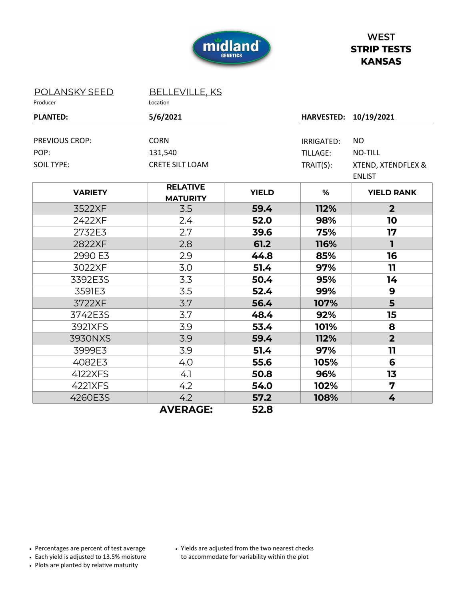

| <b>POLANSKY SEED</b><br>Producer | <b>BELLEVILLE, KS</b><br>Location  |              |                       |                                     |
|----------------------------------|------------------------------------|--------------|-----------------------|-------------------------------------|
| <b>PLANTED:</b>                  | 5/6/2021                           |              | HARVESTED: 10/19/2021 |                                     |
| PREVIOUS CROP:                   | <b>CORN</b>                        |              | IRRIGATED:            | <b>NO</b>                           |
| POP:                             | 131,540                            |              | <b>TILLAGE:</b>       | NO-TILL                             |
| <b>SOIL TYPE:</b>                | <b>CRETE SILT LOAM</b>             |              | TRAIT(S):             | XTEND, XTENDFLEX &<br><b>ENLIST</b> |
| <b>VARIETY</b>                   | <b>RELATIVE</b><br><b>MATURITY</b> | <b>YIELD</b> | %                     | <b>YIELD RANK</b>                   |
| 3522XF                           | 3.5                                | 59.4         | 112%                  | 2 <sup>2</sup>                      |
| 2422XF                           | 2.4                                | 52.0         | 98%                   | 10                                  |
| 2732E3                           | 2.7                                | 39.6         | 75%                   | 17                                  |
| 2822XF                           | 2.8                                | 61.2         | 116%                  | $\mathbf{I}$                        |
| 2990 E3                          | 2.9                                | 44.8         | 85%                   | 16                                  |
| 3022XF                           | 3.0                                | 51.4         | 97%                   | 11                                  |
| 3392E3S                          | 3.3                                | 50.4         | 95%                   | 14                                  |
| 3591E3                           | 3.5                                | 52.4         | 99%                   | 9                                   |
| 3722XF                           | 3.7                                | 56.4         | 107%                  | 5                                   |
| 3742E3S                          | 3.7                                | 48.4         | 92%                   | 15                                  |
| 3921XFS                          | 3.9                                | 53.4         | 101%                  | 8                                   |
| 3930NXS                          | 3.9                                | 59.4         | 112%                  | $\overline{2}$                      |
| 3999E3                           | 3.9                                | 51.4         | 97%                   | 11                                  |
| 4082E3                           | 4.0                                | 55.6         | 105%                  | 6                                   |
| 4122XFS                          | 4.1                                | 50.8         | 96%                   | 13                                  |
| 4221XFS                          | 4.2                                | 54.0         | 102%                  | 7                                   |
| 4260E3S                          | 4.2                                | 57.2         | 108%                  | 4                                   |
|                                  | <b>AVERAGE:</b>                    | 52.8         |                       |                                     |

• Percentages are percent of test average

• Each yield is adjusted to 13.5% moisture

• Plots are planted by relative maturity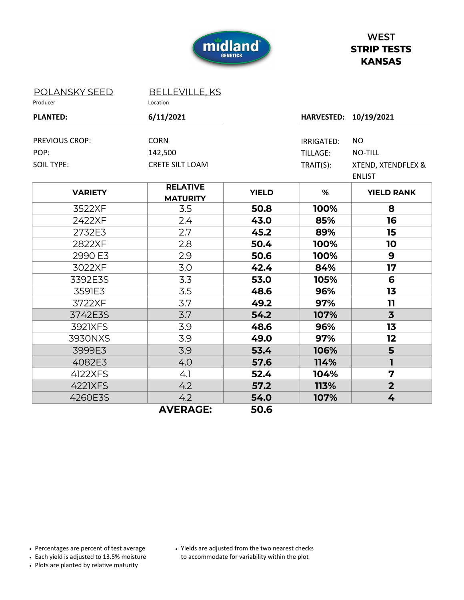

| <b>POLANSKY SEED</b>  | <b>BELLEVILLE, KS</b>              |              |                   |                                     |
|-----------------------|------------------------------------|--------------|-------------------|-------------------------------------|
| Producer              | Location                           |              |                   |                                     |
| <b>PLANTED:</b>       | 6/11/2021                          |              | <b>HARVESTED:</b> | 10/19/2021                          |
|                       |                                    |              |                   |                                     |
| <b>PREVIOUS CROP:</b> | <b>CORN</b>                        |              | IRRIGATED:        | NO                                  |
| POP:                  | 142,500                            |              | <b>TILLAGE:</b>   | <b>NO-TILL</b>                      |
| <b>SOIL TYPE:</b>     | <b>CRETE SILT LOAM</b>             |              | TRAIT(S):         | XTEND, XTENDFLEX &<br><b>ENLIST</b> |
| <b>VARIETY</b>        | <b>RELATIVE</b><br><b>MATURITY</b> | <b>YIELD</b> | %                 | <b>YIELD RANK</b>                   |
| 3522XF                | 3.5                                | 50.8         | 100%              | 8                                   |
| 2422XF                | 2.4                                | 43.0         | 85%               | 16                                  |
| 2732E3                | 2.7                                | 45.2         | 89%               | 15                                  |
| 2822XF                | 2.8                                | 50.4         | 100%              | 10                                  |
| 2990 E3               | 2.9                                | 50.6         | 100%              | 9                                   |
| 3022XF                | 3.0                                | 42.4         | 84%               | 17                                  |
| 3392E3S               | 3.3                                | 53.0         | 105%              | 6                                   |
| 3591E3                | 3.5                                | 48.6         | 96%               | 13                                  |
| 3722XF                | 3.7                                | 49.2         | 97%               | 11                                  |
| 3742E3S               | 3.7                                | 54.2         | 107%              | $\overline{\mathbf{3}}$             |
| 3921XFS               | 3.9                                | 48.6         | 96%               | 13                                  |
| 3930NXS               | 3.9                                | 49.0         | 97%               | $12 \,$                             |
| 3999E3                | 3.9                                | 53.4         | 106%              | 5                                   |
| 4082E3                | 4.0                                | 57.6         | 114%              | T.                                  |
| 4122XFS               | 4.1                                | 52.4         | 104%              | 7                                   |
| 4221XFS               | 4.2                                | 57.2         | 113%              | $\overline{\mathbf{2}}$             |
| 4260E3S               | 4.2                                | 54.0         | 107%              | 4                                   |
|                       | <b>AVERAGE:</b>                    | 50.6         |                   |                                     |

• Percentages are percent of test average

• Each yield is adjusted to 13.5% moisture

• Plots are planted by relative maturity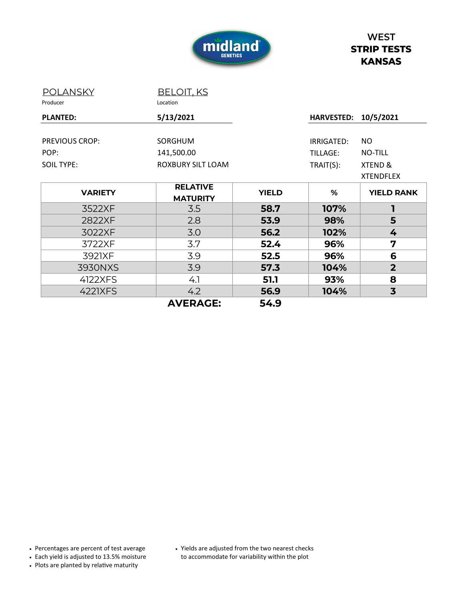

| <b>POLANSKY</b><br>Producer   | <b>BELOIT, KS</b><br>Location      |              |                       |                             |
|-------------------------------|------------------------------------|--------------|-----------------------|-----------------------------|
| <b>PLANTED:</b>               | 5/13/2021                          |              | <b>HARVESTED:</b>     | 10/5/2021                   |
| <b>PREVIOUS CROP:</b><br>POP: | SORGHUM                            |              | IRRIGATED:            | NO<br><b>NO-TILL</b>        |
| <b>SOIL TYPE:</b>             | 141,500.00<br>ROXBURY SILT LOAM    |              | TILLAGE:<br>TRAIT(S): | XTEND &<br><b>XTENDFLEX</b> |
| <b>VARIETY</b>                | <b>RELATIVE</b><br><b>MATURITY</b> | <b>YIELD</b> | %                     | <b>YIELD RANK</b>           |
| 3522XF                        | 3.5                                | 58.7         | 107%                  |                             |
| 2822XF                        | 2.8                                | 53.9         | 98%                   | 5                           |
| 3022XF                        | 3.0                                | 56.2         | 102%                  | 4                           |
| 3722XF                        | 3.7                                | 52.4         | 96%                   | 7                           |
| 3921XF                        | 3.9                                | 52.5         | 96%                   | 6                           |
| 3930NXS                       | 3.9                                | 57.3         | 104%                  | $\overline{2}$              |
| 4122XFS                       | 4.1                                | 51.1         | 93%                   | 8                           |
| <b>4221XFS</b>                | 4.2                                | 56.9         | 104%                  | $\overline{\mathbf{3}}$     |
|                               | <b>AVERAGE:</b>                    | 54.9         |                       |                             |

• Percentages are percent of test average

• Each yield is adjusted to 13.5% moisture

• Plots are planted by relative maturity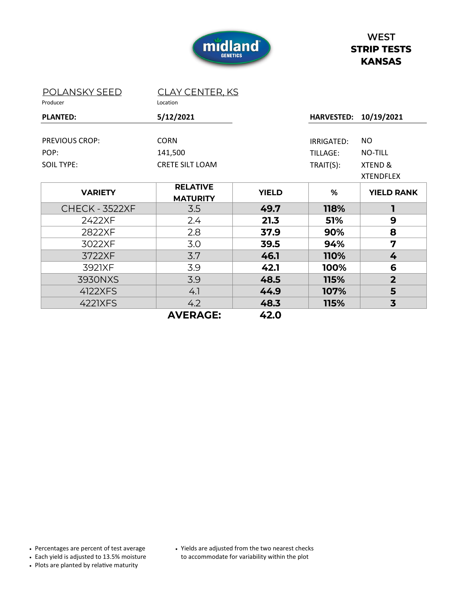

| <b>POLANSKY SEED</b><br>Producer | <b>CLAY CENTER, KS</b><br>Location |              |                   |                         |
|----------------------------------|------------------------------------|--------------|-------------------|-------------------------|
| <b>PLANTED:</b>                  | 5/12/2021                          |              | <b>HARVESTED:</b> | 10/19/2021              |
| <b>PREVIOUS CROP:</b>            | <b>CORN</b>                        |              | IRRIGATED:        | <b>NO</b>               |
| POP:                             | 141,500                            |              | TILLAGE:          | <b>NO-TILL</b>          |
| <b>SOIL TYPE:</b>                | <b>CRETE SILT LOAM</b>             |              | TRAIT(S):         | <b>XTEND &amp;</b>      |
|                                  |                                    |              |                   | <b>XTENDFLEX</b>        |
| <b>VARIETY</b>                   | <b>RELATIVE</b><br><b>MATURITY</b> | <b>YIELD</b> | %                 | <b>YIELD RANK</b>       |
| CHECK - 3522XF                   | 3.5                                | 49.7         | 118%              | 1                       |
| 2422XF                           | 2.4                                | 21.3         | 51%               | 9                       |
| 2822XF                           | 2.8                                | 37.9         | 90%               | 8                       |
| 3022XF                           | 3.0                                | 39.5         | 94%               | 7                       |
| 3722XF                           | 3.7                                | 46.1         | 110%              | 4                       |
| 3921XF                           | 3.9                                | 42.1         | 100%              | 6                       |
| 3930NXS                          | 3.9                                | 48.5         | 115%              | $\overline{2}$          |
| 4122XFS                          | 4.1                                | 44.9         | 107%              | 5                       |
| 4221XFS                          | 4.2                                | 48.3         | 115%              | $\overline{\mathbf{3}}$ |
|                                  | <b>AVERAGE:</b>                    | 42.0         |                   |                         |

• Percentages are percent of test average

• Each yield is adjusted to 13.5% moisture

• Plots are planted by relative maturity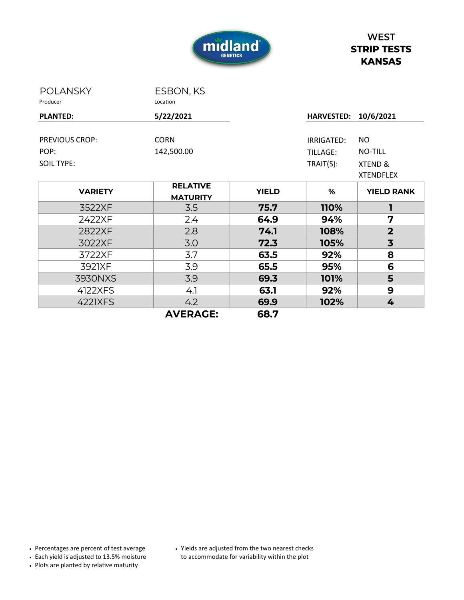

| <b>POLANSKY</b><br>Producer                 | ESBON, KS<br>Location              |              |                                            |                                                     |
|---------------------------------------------|------------------------------------|--------------|--------------------------------------------|-----------------------------------------------------|
| <b>PLANTED:</b>                             | 5/22/2021                          |              | <b>HARVESTED:</b>                          | 10/6/2021                                           |
| PREVIOUS CROP:<br>POP:<br><b>SOIL TYPE:</b> | <b>CORN</b><br>142,500.00          |              | IRRIGATED:<br><b>TILLAGE:</b><br>TRAIT(S): | <b>NO</b><br>NO-TILL<br>XTEND &<br><b>XTENDFLEX</b> |
| <b>VARIETY</b>                              | <b>RELATIVE</b><br><b>MATURITY</b> | <b>YIELD</b> | %                                          | <b>YIELD RANK</b>                                   |
| 3522XF                                      | 3.5                                | 75.7         | 110%                                       | 1                                                   |
| 2422XF                                      | $2.4\phantom{0}$                   | 64.9         | 94%                                        | 7                                                   |
| 2822XF                                      | 2.8                                | 74.1         | 108%                                       | $\overline{2}$                                      |
| 3022XF                                      | 3.0                                | 72.3         | 105%                                       | $\overline{\mathbf{3}}$                             |
| 3722XF                                      | 3.7                                | 63.5         | 92%                                        | 8                                                   |
| 3921XF                                      | 3.9                                | 65.5         | 95%                                        | 6                                                   |
| 3930NXS                                     | 3.9                                | 69.3         | 101%                                       | 5                                                   |
| 4122XFS                                     | 4.1                                | 63.1         | 92%                                        | 9                                                   |
| <b>4221XFS</b>                              | 4.2                                | 69.9         | 102%                                       | 4                                                   |
|                                             | <b>AVERAGE:</b>                    | 68.7         |                                            |                                                     |

• Percentages are percent of test average

• Each yield is adjusted to 13.5% moisture

• Plots are planted by relative maturity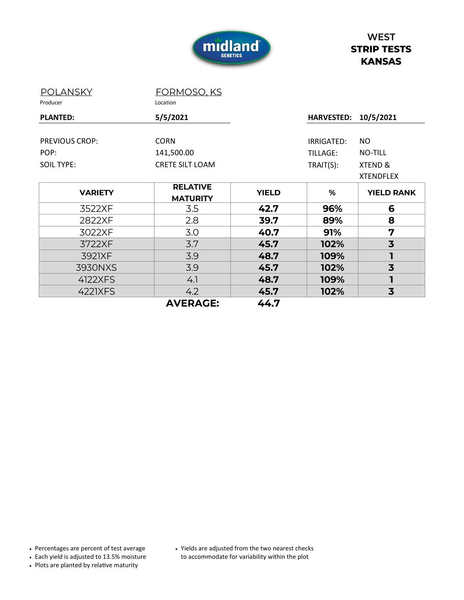

| <b>POLANSKY</b><br>Producer                        | FORMOSO, KS<br>Location                             |              |                                     |                                                      |
|----------------------------------------------------|-----------------------------------------------------|--------------|-------------------------------------|------------------------------------------------------|
| <b>PLANTED:</b>                                    | 5/5/2021                                            |              | <b>HARVESTED:</b>                   | 10/5/2021                                            |
| <b>PREVIOUS CROP:</b><br>POP:<br><b>SOIL TYPE:</b> | <b>CORN</b><br>141,500.00<br><b>CRETE SILT LOAM</b> |              | IRRIGATED:<br>TILLAGE:<br>TRAIT(S): | NO.<br><b>NO-TILL</b><br>XTEND &<br><b>XTENDFLEX</b> |
| <b>VARIETY</b>                                     | <b>RELATIVE</b><br><b>MATURITY</b>                  | <b>YIELD</b> | %                                   | <b>YIELD RANK</b>                                    |
| 3522XF                                             | 3.5                                                 | 42.7         | 96%                                 | 6                                                    |
| 2822XF                                             | 2.8                                                 | 39.7         | 89%                                 | 8                                                    |
| 3022XF                                             | 3.0                                                 | 40.7         | 91%                                 | 7                                                    |
| 3722XF                                             | 3.7                                                 | 45.7         | 102%                                | $\overline{\mathbf{3}}$                              |
| 3921XF                                             | 3.9                                                 | 48.7         | 109%                                | 1                                                    |
| 3930NXS                                            | 3.9                                                 | 45.7         | 102%                                | $\overline{\mathbf{3}}$                              |
| 4122XFS                                            | 4.1                                                 | 48.7         | 109%                                | 1                                                    |
| 4221XFS                                            | 4.2                                                 | 45.7         | 102%                                | $\overline{\mathbf{3}}$                              |
|                                                    | <b>AVERAGE:</b>                                     | 44.7         |                                     |                                                      |

• Percentages are percent of test average

• Each yield is adjusted to 13.5% moisture

• Plots are planted by relative maturity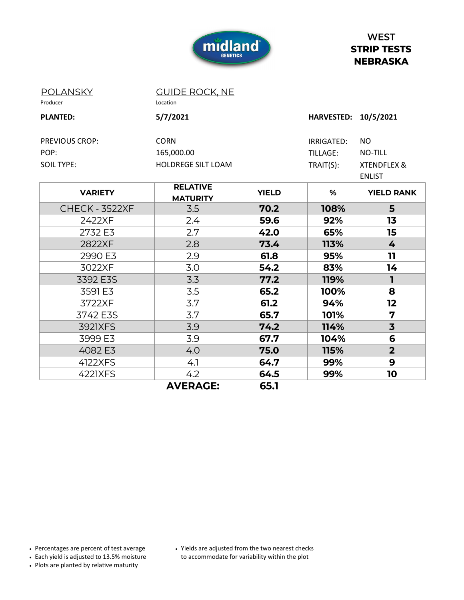

# **WEST STRIP TESTS NEBRASKA**

| <b>POLANSKY</b>   | <b>GUIDE ROCK, NE</b>     |              |                   |                         |
|-------------------|---------------------------|--------------|-------------------|-------------------------|
| Producer          | Location                  |              |                   |                         |
| <b>PLANTED:</b>   | 5/7/2021                  |              | <b>HARVESTED:</b> | 10/5/2021               |
|                   |                           |              |                   |                         |
| PREVIOUS CROP:    | <b>CORN</b>               |              | IRRIGATED:        | <b>NO</b>               |
| POP:              | 165,000.00                |              | <b>TILLAGE:</b>   | <b>NO-TILL</b>          |
| <b>SOIL TYPE:</b> | <b>HOLDREGE SILT LOAM</b> |              | TRAIT(S):         | <b>XTENDFLEX &amp;</b>  |
|                   |                           |              |                   | <b>ENLIST</b>           |
| <b>VARIETY</b>    | <b>RELATIVE</b>           | <b>YIELD</b> | %                 | <b>YIELD RANK</b>       |
| CHECK - 3522XF    | <b>MATURITY</b><br>3.5    | 70.2         | 108%              | 5                       |
| 2422XF            | 2.4                       | 59.6         | 92%               | 13                      |
| 2732 E3           | 2.7                       | 42.0         | 65%               | 15                      |
| 2822XF            | 2.8                       | 73.4         | 113%              | 4                       |
| 2990 E3           | 2.9                       | 61.8         | 95%               | 11                      |
| 3022XF            | 3.0                       | 54.2         | 83%               | 14                      |
| 3392 E3S          | 3.3                       | 77.2         | 119%              | $\mathbf{I}$            |
| 3591 E3           | 3.5                       | 65.2         | 100%              | 8                       |
| 3722XF            | 3.7                       | 61.2         | 94%               | 12                      |
| 3742 E3S          | 3.7                       | 65.7         | 101%              | 7                       |
| 3921XFS           | 3.9                       | 74.2         | 114%              | $\overline{\mathbf{3}}$ |
| 3999 E3           | 3.9                       | 67.7         | 104%              | 6                       |
| 4082 E3           | 4.0                       | 75.0         | 115%              | $\overline{2}$          |
| 4122XFS           | 4.1                       | 64.7         | 99%               | $\mathbf{9}$            |
| <b>4221XFS</b>    | 4.2                       | 64.5         | 99%               | 10                      |
|                   | <b>AVERAGE:</b>           | 65.1         |                   |                         |

• Percentages are percent of test average

• Each yield is adjusted to 13.5% moisture

• Plots are planted by relative maturity